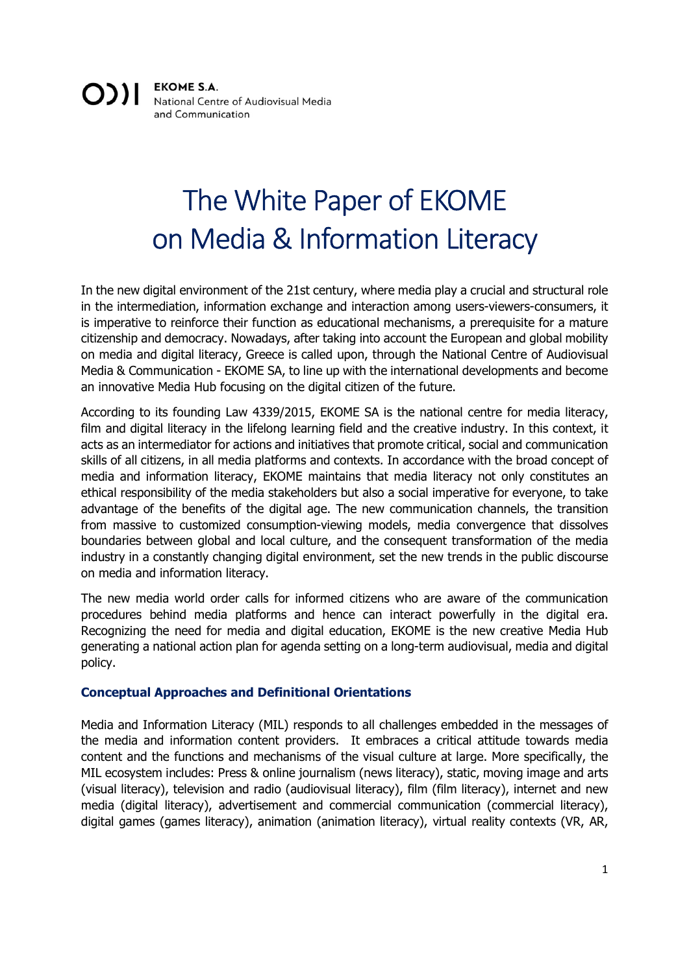**EKOME S.A.**  $O$ )| National Centre of Audiovisual Media and Communication

# The White Paper of EKOME on Media & Information Literacy

In the new digital environment of the 21st century, where media play a crucial and structural role in the intermediation, information exchange and interaction among users-viewers-consumers, it is imperative to reinforce their function as educational mechanisms, a prerequisite for a mature citizenship and democracy. Nowadays, after taking into account the European and global mobility on media and digital literacy, Greece is called upon, through the National Centre of Audiovisual Media & Communication - EKOME SA, to line up with the international developments and become an innovative Media Hub focusing on the digital citizen of the future.

According to its founding Law 4339/2015, EKOME SA is the national centre for media literacy, film and digital literacy in the lifelong learning field and the creative industry. In this context, it acts as an intermediator for actions and initiatives that promote critical, social and communication skills of all citizens, in all media platforms and contexts. In accordance with the broad concept of media and information literacy, EKOME maintains that media literacy not only constitutes an ethical responsibility of the media stakeholders but also a social imperative for everyone, to take advantage of the benefits of the digital age. The new communication channels, the transition from massive to customized consumption-viewing models, media convergence that dissolves boundaries between global and local culture, and the consequent transformation of the media industry in a constantly changing digital environment, set the new trends in the public discourse on media and information literacy.

The new media world order calls for informed citizens who are aware of the communication procedures behind media platforms and hence can interact powerfully in the digital era. Recognizing the need for media and digital education, EKOME is the new creative Media Hub generating a national action plan for agenda setting on a long-term audiovisual, media and digital policy.

## Conceptual Approaches and Definitional Orientations

Media and Information Literacy (MIL) responds to all challenges embedded in the messages of the media and information content providers. It embraces a critical attitude towards media content and the functions and mechanisms of the visual culture at large. More specifically, the MIL ecosystem includes: Press & online journalism (news literacy), static, moving image and arts (visual literacy), television and radio (audiovisual literacy), film (film literacy), internet and new media (digital literacy), advertisement and commercial communication (commercial literacy), digital games (games literacy), animation (animation literacy), virtual reality contexts (VR, AR,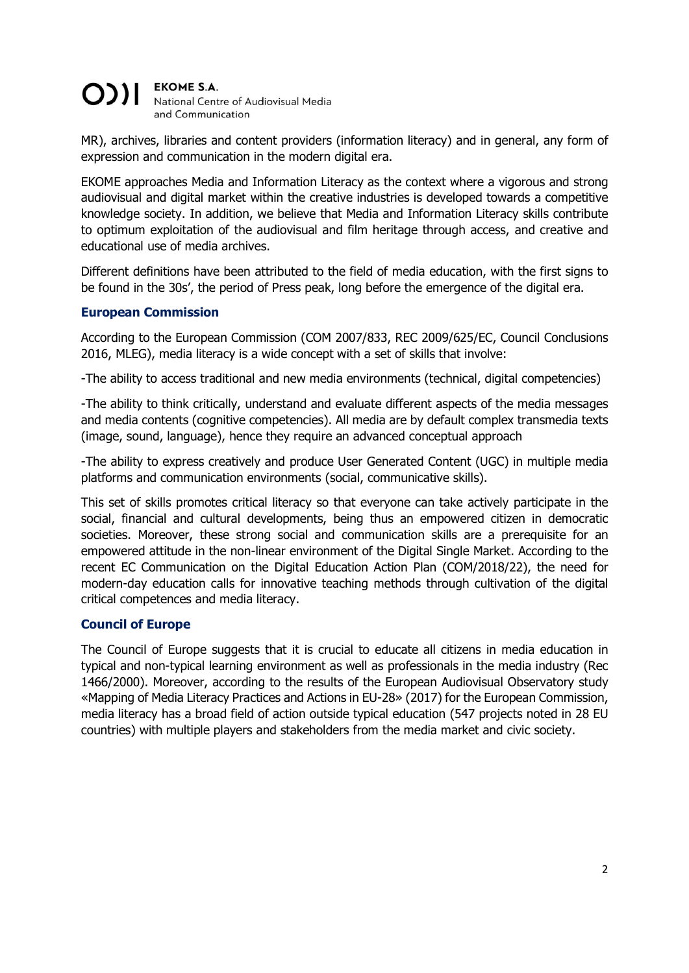#### **EKOME S.A.** OII National Centre of Audiovisual Media and Communication

MR), archives, libraries and content providers (information literacy) and in general, any form of expression and communication in the modern digital era.

EKOME approaches Media and Information Literacy as the context where a vigorous and strong audiovisual and digital market within the creative industries is developed towards a competitive knowledge society. In addition, we believe that Media and Information Literacy skills contribute to optimum exploitation of the audiovisual and film heritage through access, and creative and educational use of media archives.

Different definitions have been attributed to the field of media education, with the first signs to be found in the 30s', the period of Press peak, long before the emergence of the digital era.

## European Commission

According to the European Commission (COM 2007/833, REC 2009/625/EC, Council Conclusions 2016, MLEG), media literacy is a wide concept with a set of skills that involve:

-The ability to access traditional and new media environments (technical, digital competencies)

-The ability to think critically, understand and evaluate different aspects of the media messages and media contents (cognitive competencies). All media are by default complex transmedia texts (image, sound, language), hence they require an advanced conceptual approach

-The ability to express creatively and produce User Generated Content (UGC) in multiple media platforms and communication environments (social, communicative skills).

This set of skills promotes critical literacy so that everyone can take actively participate in the social, financial and cultural developments, being thus an empowered citizen in democratic societies. Moreover, these strong social and communication skills are a prerequisite for an empowered attitude in the non-linear environment of the Digital Single Market. According to the recent EC Communication on the Digital Education Action Plan (COM/2018/22), the need for modern-day education calls for innovative teaching methods through cultivation of the digital critical competences and media literacy.

## Council of Europe

The Council of Europe suggests that it is crucial to educate all citizens in media education in typical and non-typical learning environment as well as professionals in the media industry (Rec 1466/2000). Moreover, according to the results of the European Audiovisual Observatory study «Mapping of Media Literacy Practices and Actions in EU-28» (2017) for the European Commission, media literacy has a broad field of action outside typical education (547 projects noted in 28 EU countries) with multiple players and stakeholders from the media market and civic society.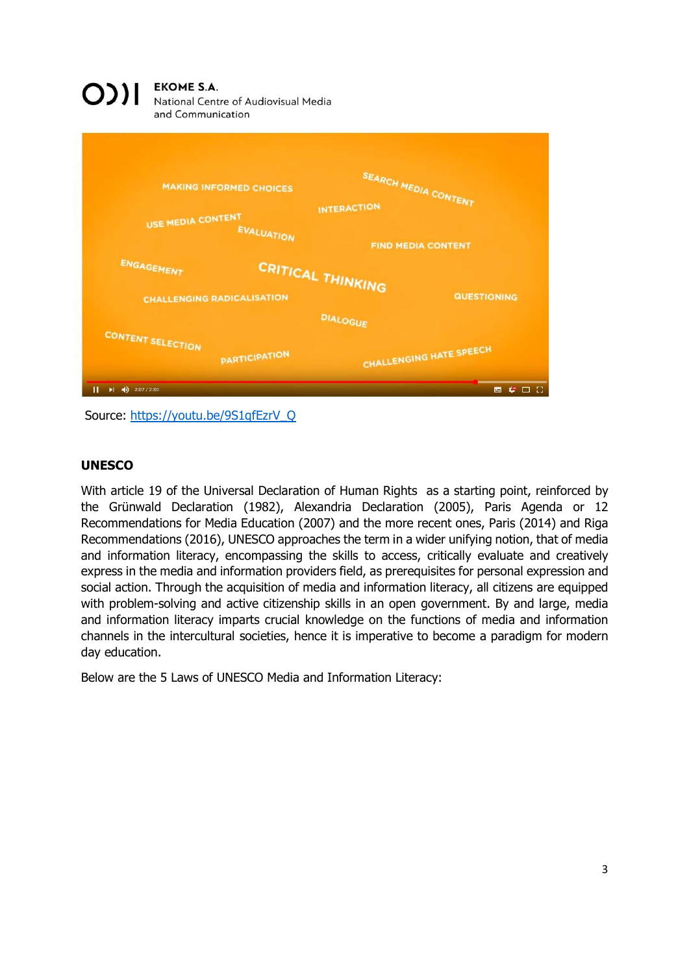### **EKOME S.A.**  $[0]$

National Centre of Audiovisual Media and Communication



Source: https://youtu.be/9S1qfEzrV\_Q

# **UNESCO**

With article 19 of the Universal Declaration of Human Rights as a starting point, reinforced by the Grünwald Declaration (1982), Alexandria Declaration (2005), Paris Agenda or 12 Recommendations for Media Education (2007) and the more recent ones, Paris (2014) and Riga Recommendations (2016), UNESCO approaches the term in a wider unifying notion, that of media and information literacy, encompassing the skills to access, critically evaluate and creatively express in the media and information providers field, as prerequisites for personal expression and social action. Through the acquisition of media and information literacy, all citizens are equipped with problem-solving and active citizenship skills in an open government. By and large, media and information literacy imparts crucial knowledge on the functions of media and information channels in the intercultural societies, hence it is imperative to become a paradigm for modern day education.

Below are the 5 Laws of UNESCO Media and Information Literacy: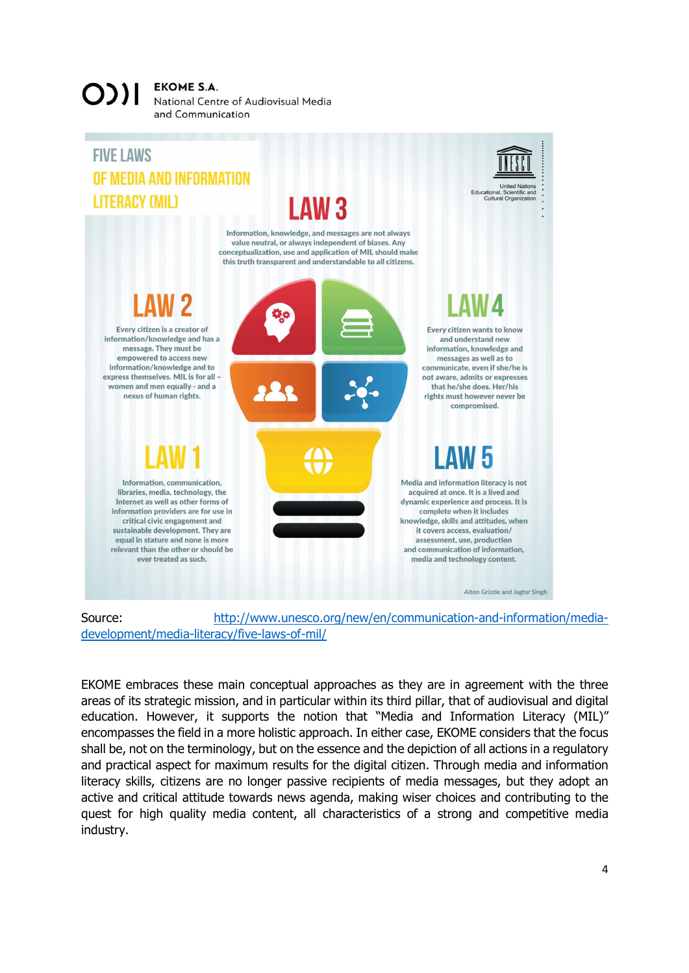#### **EKOME S.A.**  $OIII$ National Centre of Audiovisual Media and Communication



development/media-literacy/five-laws-of-mil/<br>EKOME embraces these main conceptual approaches as they are in agreement with the three

areas of its strategic mission, and in particular within its third pillar, that of audiovisual and digital education. However, it supports the notion that "Media and Information Literacy (MIL)" encompasses the field in a more holistic approach. In either case, EKOME considers that the focus shall be, not on the terminology, but on the essence and the depiction of all actions in a regulatory and practical aspect for maximum results for the digital citizen. Through media and information literacy skills, citizens are no longer passive recipients of media messages, but they adopt an active and critical attitude towards news agenda, making wiser choices and contributing to the quest for high quality media content, all characteristics of a strong and competitive media industry.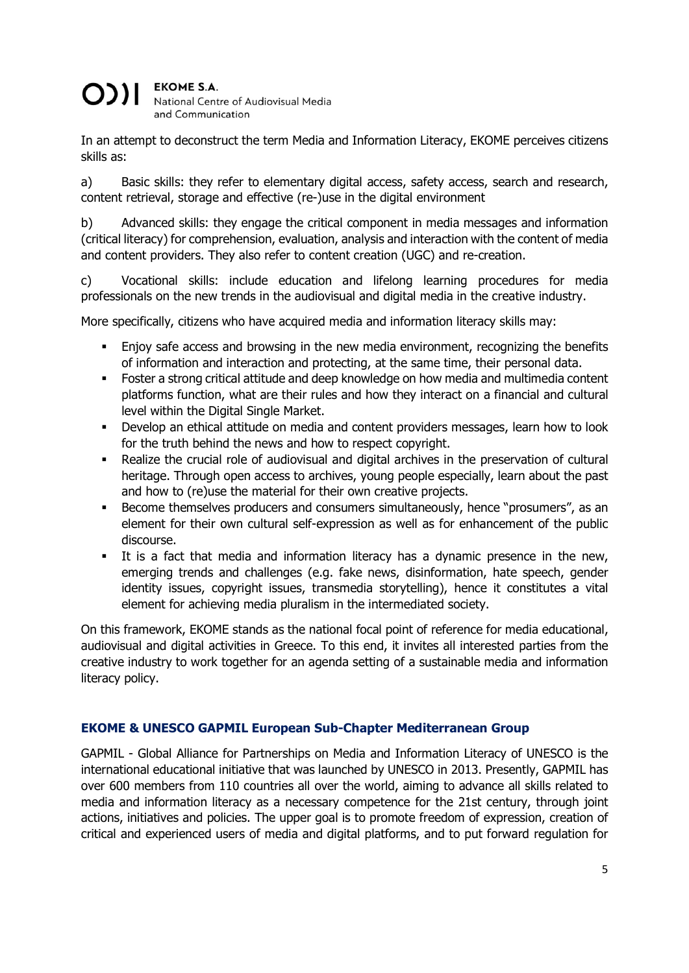#### **EKOME S.A.**  $O$ )| National Centre of Audiovisual Media and Communication

In an attempt to deconstruct the term Media and Information Literacy, EKOME perceives citizens skills as:

a) Basic skills: they refer to elementary digital access, safety access, search and research, content retrieval, storage and effective (re-)use in the digital environment

b) Advanced skills: they engage the critical component in media messages and information (critical literacy) for comprehension, evaluation, analysis and interaction with the content of media and content providers. They also refer to content creation (UGC) and re-creation.

c) Vocational skills: include education and lifelong learning procedures for media professionals on the new trends in the audiovisual and digital media in the creative industry.

More specifically, citizens who have acquired media and information literacy skills may:

- Enjoy safe access and browsing in the new media environment, recognizing the benefits of information and interaction and protecting, at the same time, their personal data.
- Foster a strong critical attitude and deep knowledge on how media and multimedia content platforms function, what are their rules and how they interact on a financial and cultural level within the Digital Single Market.
- Develop an ethical attitude on media and content providers messages, learn how to look for the truth behind the news and how to respect copyright.
- Realize the crucial role of audiovisual and digital archives in the preservation of cultural heritage. Through open access to archives, young people especially, learn about the past and how to (re)use the material for their own creative projects.
- Become themselves producers and consumers simultaneously, hence "prosumers", as an element for their own cultural self-expression as well as for enhancement of the public discourse.
- It is a fact that media and information literacy has a dynamic presence in the new, emerging trends and challenges (e.g. fake news, disinformation, hate speech, gender identity issues, copyright issues, transmedia storytelling), hence it constitutes a vital element for achieving media pluralism in the intermediated society.

On this framework, EKOME stands as the national focal point of reference for media educational, audiovisual and digital activities in Greece. To this end, it invites all interested parties from the creative industry to work together for an agenda setting of a sustainable media and information literacy policy.

# EKOME & UNESCO GAPMIL European Sub-Chapter Mediterranean Group

GAPMIL - Global Alliance for Partnerships on Media and Information Literacy of UNESCO is the international educational initiative that was launched by UNESCO in 2013. Presently, GAPMIL has over 600 members from 110 countries all over the world, aiming to advance all skills related to media and information literacy as a necessary competence for the 21st century, through joint actions, initiatives and policies. The upper goal is to promote freedom of expression, creation of critical and experienced users of media and digital platforms, and to put forward regulation for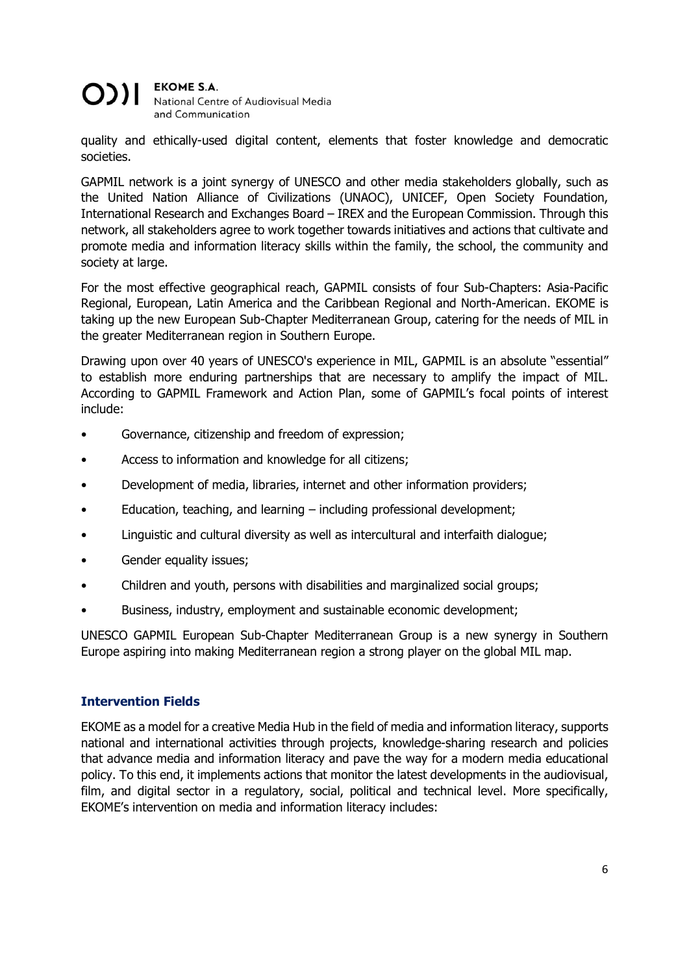#### **EKOME S.A.** OII National Centre of Audiovisual Media and Communication

quality and ethically-used digital content, elements that foster knowledge and democratic societies.

GAPMIL network is a joint synergy of UNESCO and other media stakeholders globally, such as the United Nation Alliance of Civilizations (UNAOC), UNICEF, Open Society Foundation, International Research and Exchanges Board – IREX and the European Commission. Through this network, all stakeholders agree to work together towards initiatives and actions that cultivate and promote media and information literacy skills within the family, the school, the community and society at large.

For the most effective geographical reach, GAPMIL consists of four Sub-Chapters: Asia-Pacific Regional, European, Latin America and the Caribbean Regional and North-American. EKOME is taking up the new European Sub-Chapter Mediterranean Group, catering for the needs of MIL in the greater Mediterranean region in Southern Europe.

Drawing upon over 40 years of UNESCO's experience in MIL, GAPMIL is an absolute "essential" to establish more enduring partnerships that are necessary to amplify the impact of MIL. According to GAPMIL Framework and Action Plan, some of GAPMIL's focal points of interest include:

- Governance, citizenship and freedom of expression;
- Access to information and knowledge for all citizens;
- Development of media, libraries, internet and other information providers;
- Education, teaching, and learning  $-$  including professional development;
- Linguistic and cultural diversity as well as intercultural and interfaith dialogue;
- Gender equality issues;
- Children and youth, persons with disabilities and marginalized social groups;
- Business, industry, employment and sustainable economic development;

UNESCO GAPMIL European Sub-Chapter Mediterranean Group is a new synergy in Southern Europe aspiring into making Mediterranean region a strong player on the global MIL map.

## Intervention Fields

EKOME as a model for a creative Media Hub in the field of media and information literacy, supports national and international activities through projects, knowledge-sharing research and policies that advance media and information literacy and pave the way for a modern media educational policy. To this end, it implements actions that monitor the latest developments in the audiovisual, film, and digital sector in a regulatory, social, political and technical level. More specifically, EKOME's intervention on media and information literacy includes: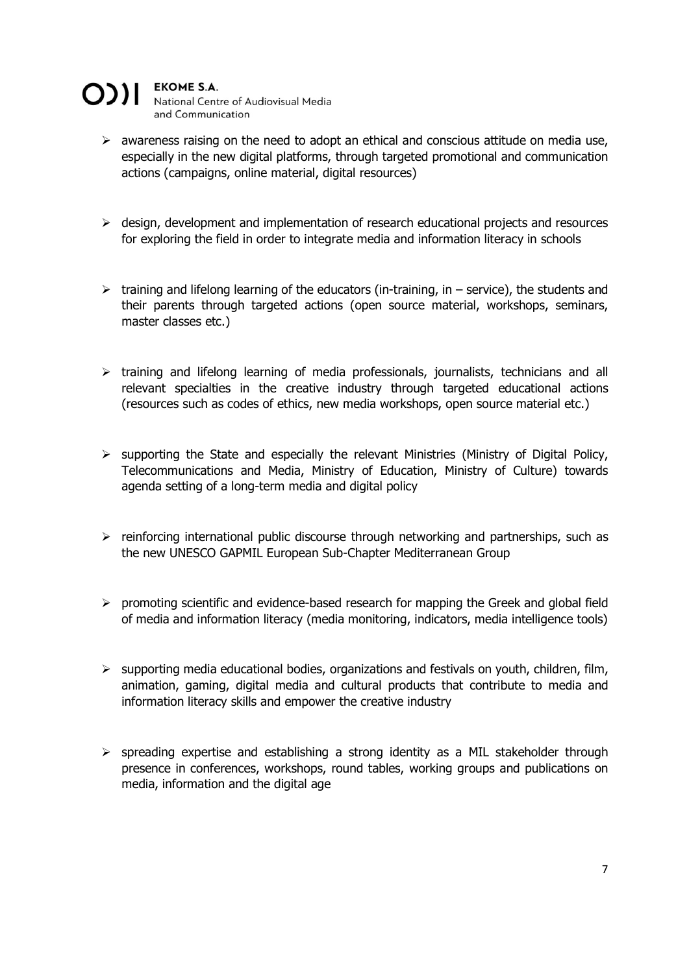#### **EKOME S.A.** O)II National Centre of Audiovisual Media and Communication

 $\triangleright$  awareness raising on the need to adopt an ethical and conscious attitude on media use, especially in the new digital platforms, through targeted promotional and communication

actions (campaigns, online material, digital resources)

- $\triangleright$  design, development and implementation of research educational projects and resources for exploring the field in order to integrate media and information literacy in schools
- $\triangleright$  training and lifelong learning of the educators (in-training, in service), the students and their parents through targeted actions (open source material, workshops, seminars, master classes etc.)
- $\triangleright$  training and lifelong learning of media professionals, journalists, technicians and all relevant specialties in the creative industry through targeted educational actions (resources such as codes of ethics, new media workshops, open source material etc.)
- $\triangleright$  supporting the State and especially the relevant Ministries (Ministry of Digital Policy, Telecommunications and Media, Ministry of Education, Ministry of Culture) towards agenda setting of a long-term media and digital policy
- $\triangleright$  reinforcing international public discourse through networking and partnerships, such as the new UNESCO GAPMIL European Sub-Chapter Mediterranean Group
- $\triangleright$  promoting scientific and evidence-based research for mapping the Greek and global field of media and information literacy (media monitoring, indicators, media intelligence tools)
- $\triangleright$  supporting media educational bodies, organizations and festivals on youth, children, film, animation, gaming, digital media and cultural products that contribute to media and information literacy skills and empower the creative industry
- $\triangleright$  spreading expertise and establishing a strong identity as a MIL stakeholder through presence in conferences, workshops, round tables, working groups and publications on media, information and the digital age